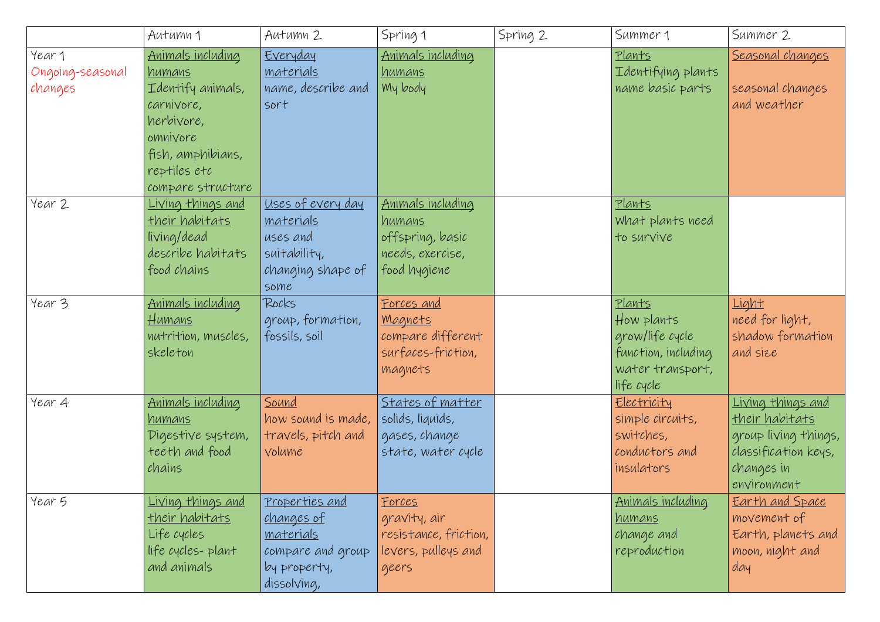|                                       | Autumn 1                                                                                                                                           | Autumn 2                                                                                                           | Spring 1                                                                                   | Spring 2 | Summer 1                                                                                                | Summer 2                                                                                                                       |
|---------------------------------------|----------------------------------------------------------------------------------------------------------------------------------------------------|--------------------------------------------------------------------------------------------------------------------|--------------------------------------------------------------------------------------------|----------|---------------------------------------------------------------------------------------------------------|--------------------------------------------------------------------------------------------------------------------------------|
| Year 1<br>Ongoing-seasonal<br>changes | Animals including<br>humans<br>Identify animals,<br>carnivore,<br>herbivore,<br>omnivore<br>fish, amphibians,<br>reptiles etc<br>compare structure | Everyday<br><u>materials</u><br>name, describe and<br>sort                                                         | Animals including<br><u>humans</u><br>My body                                              |          | Plants<br>Identifying plants<br>name basic parts                                                        | Seasonal changes<br>seasonal changes<br>and weather                                                                            |
| Year 2                                | <u>Living things and</u><br><u>their habitats</u><br>living/dead<br>describe habitats<br>food chains                                               | Uses of every day<br><u>materials</u><br>uses and<br>suitability,<br>changing shape of<br>some                     | Animals including<br><u>humans</u><br>offspring, basic<br>needs, exercise,<br>food hygiene |          | <u>Plants</u><br>What plants need<br>to survive                                                         |                                                                                                                                |
| Year 3                                | Animals including<br><u>Humans</u><br>nutrition, muscles,<br>skeleton                                                                              | Rocks<br>group, formation,<br>fossils, soil                                                                        | <u>Forces and</u><br><u>Magnets</u><br>compare different<br>surfaces-friction,<br>magnets  |          | <u>Plants</u><br>How plants<br>grow/life cycle<br>function, including<br>water transport,<br>life cycle | Light<br>need for light,<br>shadow formation<br>and size                                                                       |
| Year 4                                | <u>Animals including</u><br><u>humans</u><br>Digestive system,<br>teeth and food<br>chains                                                         | <u>Sound</u><br>how sound is made,<br>travels, pitch and<br>volume                                                 | States of matter<br>solids, liquids,<br>gases, change<br>state, water cycle                |          | Electricity<br>simple circuits,<br>switches,<br>conductors and<br>insulators                            | <u>Living things and</u><br><u>their habitats</u><br>group living things,<br>classification keys,<br>changes in<br>environment |
| Year 5                                | <u> Living things and</u><br><u>their habitats</u><br>Life cycles<br>life cycles-plant<br>and animals                                              | <u>Properties and</u><br><u>changes of</u><br><u>materials</u><br>compare and group<br>by property,<br>dissolving, | <u>Forces</u><br>gravity, air<br>resistance, friction,<br>levers, pulleys and<br>geers     |          | <u>Animals including</u><br>humans<br>change and<br>reproduction                                        | <u>Earth and Space</u><br>movement of<br>Earth, planets and<br>moon, night and<br>day                                          |